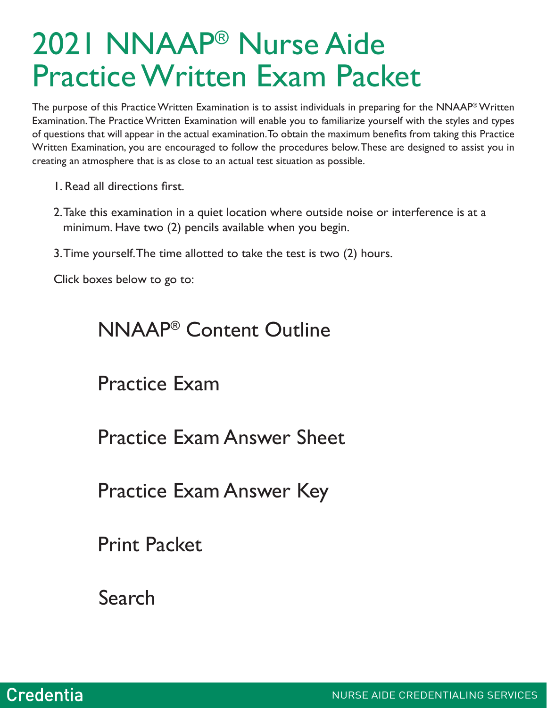# 2021 NNAAP® Nurse Aide Practice Written Exam Packet

The purpose of this Practice Written Examination is to assist individuals in preparing for the NNAAP® Written Examination. The Practice Written Examination will enable you to familiarize yourself with the styles and types of questions that will appear in the actual examination. To obtain the maximum benefits from taking this Practice Written Examination, you are encouraged to follow the procedures below. These are designed to assist you in creating an atmosphere that is as close to an actual test situation as possible.

- 1. Read all directions first.
- 2.Take this examination in a quiet location where outside noise or interference is at a minimum. Have two (2) pencils available when you begin.
- 3.Time yourself. The time allotted to take the test is two (2) hours.

Click boxes below to go to:

### NNAAP® Content Outline

Practice Exam

**Practice Exam Answer Sheet** 

**Practice Exam Answer Key** 

Print Packet

Search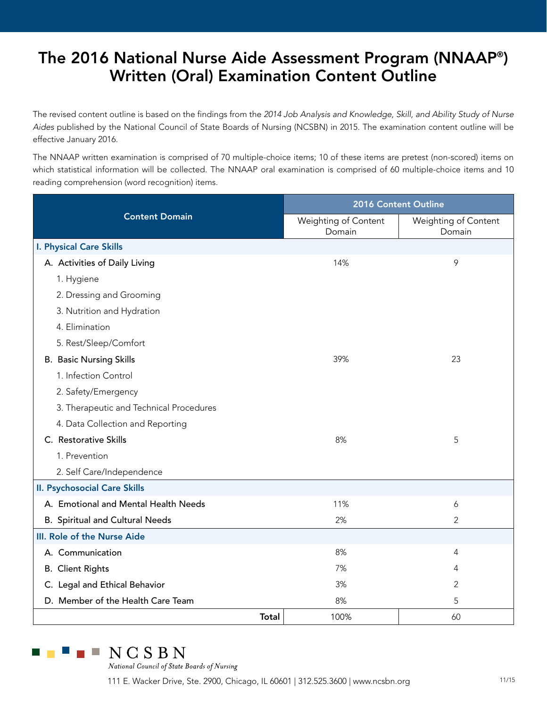### The 2016 National Nurse Aide Assessment Program (NNAAP® ) Written (Oral) Examination Content Outline

The revised content outline is based on the findings from the *2014 Job Analysis and Knowledge, Skill, and Ability Study of Nurse Aides* published by the National Council of State Boards of Nursing (NCSBN) in 2015. The examination content outline will be effective January 2016.

The NNAAP written examination is comprised of 70 multiple-choice items; 10 of these items are pretest (non-scored) items on which statistical information will be collected. The NNAAP oral examination is comprised of 60 multiple-choice items and 10 reading comprehension (word recognition) items.

|                                         | 2016 Content Outline           |                                |  |  |
|-----------------------------------------|--------------------------------|--------------------------------|--|--|
| <b>Content Domain</b>                   | Weighting of Content<br>Domain | Weighting of Content<br>Domain |  |  |
| <b>I. Physical Care Skills</b>          |                                |                                |  |  |
| A. Activities of Daily Living           | 14%                            | 9                              |  |  |
| 1. Hygiene                              |                                |                                |  |  |
| 2. Dressing and Grooming                |                                |                                |  |  |
| 3. Nutrition and Hydration              |                                |                                |  |  |
| 4. Elimination                          |                                |                                |  |  |
| 5. Rest/Sleep/Comfort                   |                                |                                |  |  |
| <b>B. Basic Nursing Skills</b>          | 39%                            | 23                             |  |  |
| 1. Infection Control                    |                                |                                |  |  |
| 2. Safety/Emergency                     |                                |                                |  |  |
| 3. Therapeutic and Technical Procedures |                                |                                |  |  |
| 4. Data Collection and Reporting        |                                |                                |  |  |
| C. Restorative Skills                   | 8%                             | 5                              |  |  |
| 1. Prevention                           |                                |                                |  |  |
| 2. Self Care/Independence               |                                |                                |  |  |
| <b>II. Psychosocial Care Skills</b>     |                                |                                |  |  |
| A. Emotional and Mental Health Needs    | 11%                            | 6                              |  |  |
| <b>B. Spiritual and Cultural Needs</b>  | 2%                             | $\overline{2}$                 |  |  |
| III. Role of the Nurse Aide             |                                |                                |  |  |
| A. Communication                        | 8%                             | 4                              |  |  |
| <b>B.</b> Client Rights                 | 7%                             | 4                              |  |  |
| C. Legal and Ethical Behavior           | 3%                             | 2                              |  |  |
| D. Member of the Health Care Team       | 8%                             | 5                              |  |  |
| <b>Total</b>                            | 100%                           | 60                             |  |  |



National Council of State Boards of Nursing

111 E. Wacker Drive, Ste. 2900, Chicago, IL 60601 | 312.525.3600 | www.ncsbn.org 11/15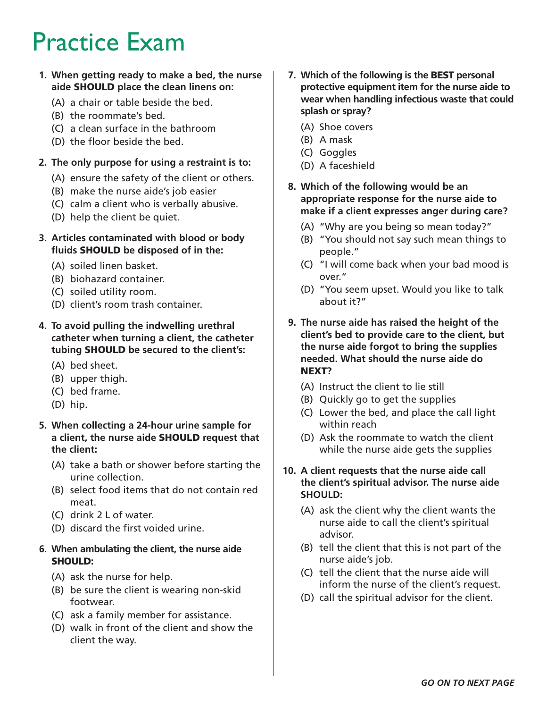### Practice Exam

#### **1. When getting ready to make a bed, the nurse aide** SHOULD **place the clean linens on:**

- (A) a chair or table beside the bed.
- (B) the roommate's bed.
- (C) a clean surface in the bathroom
- (D) the floor beside the bed.

#### **2. The only purpose for using a restraint is to:**

- (A) ensure the safety of the client or others.
- (B) make the nurse aide's job easier
- (C) calm a client who is verbally abusive.
- (D) help the client be quiet.

#### **3. Articles contaminated with blood or body fluids** SHOULD **be disposed of in the:**

- (A) soiled linen basket.
- (B) biohazard container.
- (C) soiled utility room.
- (D) client's room trash container.
- **4. To avoid pulling the indwelling urethral catheter when turning a client, the catheter tubing** SHOULD **be secured to the client's:** 
	- (A) bed sheet.
	- (B) upper thigh.
	- (C) bed frame.
	- (D) hip.
- **5. When collecting a 24-hour urine sample for a client, the nurse aide** SHOULD **request that the client:**
	- (A) take a bath or shower before starting the urine collection.
	- (B) select food items that do not contain red meat.
	- (C) drink 2 L of water.
	- (D) discard the first voided urine.

#### **6. When ambulating the client, the nurse aide**  SHOULD**:**

- (A) ask the nurse for help.
- (B) be sure the client is wearing non-skid footwear.
- (C) ask a family member for assistance.
- (D) walk in front of the client and show the client the way.
- **7. Which of the following is the** BEST **personal protective equipment item for the nurse aide to wear when handling infectious waste that could splash or spray?** 
	- (A) Shoe covers
	- (B) A mask
	- (C) Goggles
	- (D) A faceshield
- **8. Which of the following would be an appropriate response for the nurse aide to make if a client expresses anger during care?** 
	- (A) "Why are you being so mean today?"
	- (B) "You should not say such mean things to people."
	- (C) "I will come back when your bad mood is over."
	- (D) "You seem upset. Would you like to talk about it?"
- **9. The nurse aide has raised the height of the client's bed to provide care to the client, but the nurse aide forgot to bring the supplies needed. What should the nurse aide do**  NEXT**?** 
	- (A) Instruct the client to lie still
	- (B) Quickly go to get the supplies
	- (C) Lower the bed, and place the call light within reach
	- (D) Ask the roommate to watch the client while the nurse aide gets the supplies
- **10. A client requests that the nurse aide call the client's spiritual advisor. The nurse aide SHOULD:** 
	- (A) ask the client why the client wants the nurse aide to call the client's spiritual advisor.
	- (B) tell the client that this is not part of the nurse aide's job.
	- (C) tell the client that the nurse aide will inform the nurse of the client's request.
	- (D) call the spiritual advisor for the client.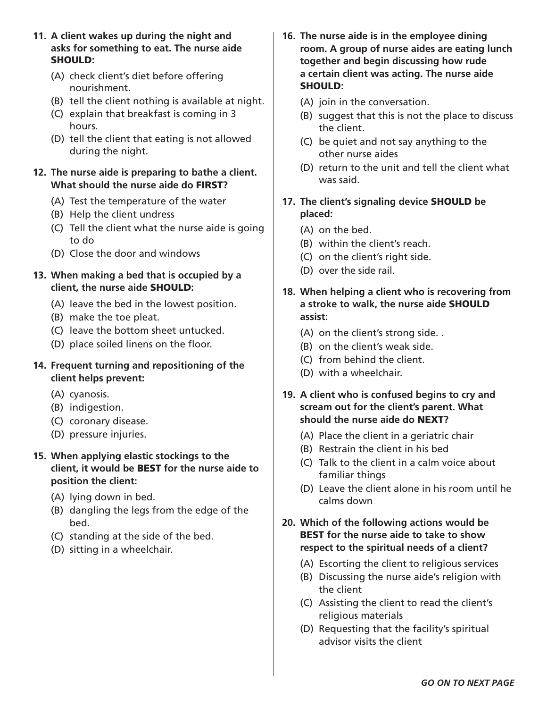- **11. A client wakes up during the night and asks for something to eat. The nurse aide**  SHOULD**:** 
	- (A) check client's diet before offering nourishment.
	- (B) tell the client nothing is available at night.
	- (C) explain that breakfast is coming in 3 hours.
	- (D) tell the client that eating is not allowed during the night.

#### **12. The nurse aide is preparing to bathe a client. What should the nurse aide do** FIRST**?**

- (A) Test the temperature of the water
- (B) Help the client undress
- (C) Tell the client what the nurse aide is going to do
- (D) Close the door and windows
- **13. When making a bed that is occupied by a client, the nurse aide** SHOULD**:** 
	- (A) leave the bed in the lowest position.
	- (B) make the toe pleat.
	- (C) leave the bottom sheet untucked.
	- (D) place soiled linens on the floor.
- **14. Frequent turning and repositioning of the client helps prevent:** 
	- (A) cyanosis.
	- (B) indigestion.
	- (C) coronary disease.
	- (D) pressure injuries.

#### **15. When applying elastic stockings to the client, it would be** BEST **for the nurse aide to position the client:**

- (A) lying down in bed.
- (B) dangling the legs from the edge of the bed.
- (C) standing at the side of the bed.
- (D) sitting in a wheelchair.
- **16. The nurse aide is in the employee dining room. A group of nurse aides are eating lunch together and begin discussing how rude a certain client was acting. The nurse aide**  SHOULD**:** 
	- (A) join in the conversation.
	- (B) suggest that this is not the place to discuss the client.
	- (C) be quiet and not say anything to the other nurse aides
	- (D) return to the unit and tell the client what was said.
- **17. The client's signaling device** SHOULD **be placed:** 
	- (A) on the bed.
	- (B) within the client's reach.
	- (C) on the client's right side.
	- (D) over the side rail.
- **18. When helping a client who is recovering from a stroke to walk, the nurse aide** SHOULD **assist:** 
	- (A) on the client's strong side. .
	- (B) on the client's weak side.
	- (C) from behind the client.
	- (D) with a wheelchair.
- **19. A client who is confused begins to cry and scream out for the client's parent. What should the nurse aide do** NEXT**?** 
	- (A) Place the client in a geriatric chair
	- (B) Restrain the client in his bed
	- (C) Talk to the client in a calm voice about familiar things
	- (D) Leave the client alone in his room until he calms down

#### **20. Which of the following actions would be**  BEST **for the nurse aide to take to show respect to the spiritual needs of a client?**

- (A) Escorting the client to religious services
- (B) Discussing the nurse aide's religion with the client
- (C) Assisting the client to read the client's religious materials
- (D) Requesting that the facility's spiritual advisor visits the client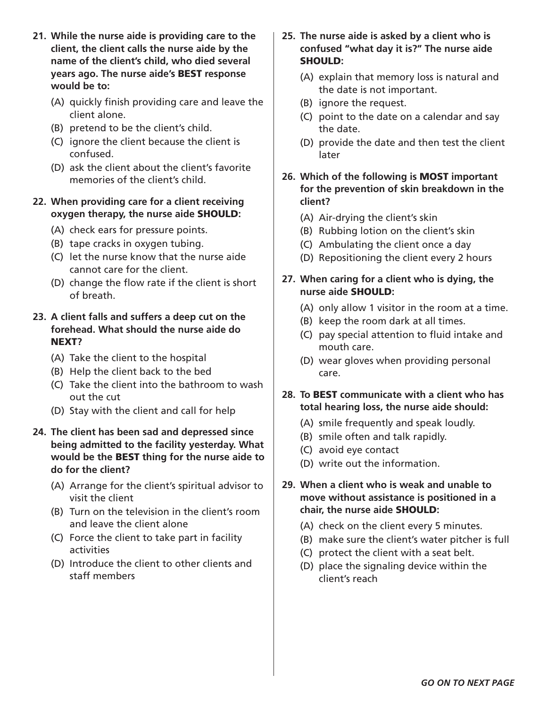- **21. While the nurse aide is providing care to the client, the client calls the nurse aide by the name of the client's child, who died several years ago. The nurse aide's** BEST **response would be to:** 
	- (A) quickly finish providing care and leave the client alone.
	- (B) pretend to be the client's child.
	- (C) ignore the client because the client is confused.
	- (D) ask the client about the client's favorite memories of the client's child.

#### **22. When providing care for a client receiving oxygen therapy, the nurse aide** SHOULD**:**

- (A) check ears for pressure points.
- (B) tape cracks in oxygen tubing.
- (C) let the nurse know that the nurse aide cannot care for the client.
- (D) change the flow rate if the client is short of breath.

#### **23. A client falls and suffers a deep cut on the forehead. What should the nurse aide do**  NEXT**?**

- (A) Take the client to the hospital
- (B) Help the client back to the bed
- (C) Take the client into the bathroom to wash out the cut
- (D) Stay with the client and call for help
- **24. The client has been sad and depressed since being admitted to the facility yesterday. What would be the** BEST **thing for the nurse aide to do for the client?** 
	- (A) Arrange for the client's spiritual advisor to visit the client
	- (B) Turn on the television in the client's room and leave the client alone
	- (C) Force the client to take part in facility activities
	- (D) Introduce the client to other clients and staff members
- **25. The nurse aide is asked by a client who is confused "what day it is?" The nurse aide**  SHOULD**:** 
	- (A) explain that memory loss is natural and the date is not important.
	- (B) ignore the request.
	- (C) point to the date on a calendar and say the date.
	- (D) provide the date and then test the client later
- **26. Which of the following is** MOST **important for the prevention of skin breakdown in the client?** 
	- (A) Air-drying the client's skin
	- (B) Rubbing lotion on the client's skin
	- (C) Ambulating the client once a day
	- (D) Repositioning the client every 2 hours
- **27. When caring for a client who is dying, the nurse aide** SHOULD**:** 
	- (A) only allow 1 visitor in the room at a time.
	- (B) keep the room dark at all times.
	- (C) pay special attention to fluid intake and mouth care.
	- (D) wear gloves when providing personal care.
- **28. To** BEST **communicate with a client who has total hearing loss, the nurse aide should:** 
	- (A) smile frequently and speak loudly.
	- (B) smile often and talk rapidly.
	- (C) avoid eye contact
	- (D) write out the information.
- **29. When a client who is weak and unable to move without assistance is positioned in a chair, the nurse aide** SHOULD**:** 
	- (A) check on the client every 5 minutes.
	- (B) make sure the client's water pitcher is full
	- (C) protect the client with a seat belt.
	- (D) place the signaling device within the client's reach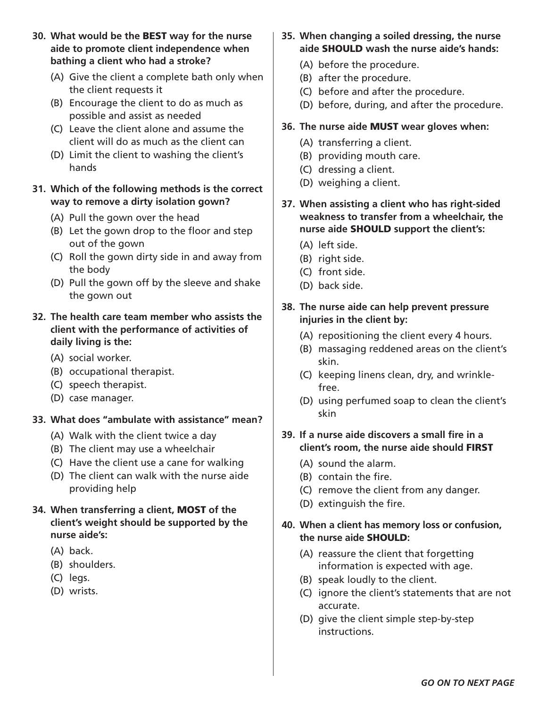**30. What would be the** BEST **way for the nurse aide to promote client independence when bathing a client who had a stroke?** 

- (A) Give the client a complete bath only when the client requests it
- (B) Encourage the client to do as much as possible and assist as needed
- (C) Leave the client alone and assume the client will do as much as the client can
- (D) Limit the client to washing the client's hands

#### **31. Which of the following methods is the correct way to remove a dirty isolation gown?**

- (A) Pull the gown over the head
- (B) Let the gown drop to the floor and step out of the gown
- (C) Roll the gown dirty side in and away from the body
- (D) Pull the gown off by the sleeve and shake the gown out

#### **32. The health care team member who assists the client with the performance of activities of daily living is the:**

- (A) social worker.
- (B) occupational therapist.
- (C) speech therapist.
- (D) case manager.

#### **33. What does "ambulate with assistance" mean?**

- (A) Walk with the client twice a day
- (B) The client may use a wheelchair
- (C) Have the client use a cane for walking
- (D) The client can walk with the nurse aide providing help

#### **34. When transferring a client,** MOST **of the client's weight should be supported by the nurse aide's:**

- (A) back.
- (B) shoulders.
- (C) legs.
- (D) wrists.
- **35. When changing a soiled dressing, the nurse aide** SHOULD **wash the nurse aide's hands:** 
	- (A) before the procedure.
	- (B) after the procedure.
	- (C) before and after the procedure.
	- (D) before, during, and after the procedure.

#### **36. The nurse aide** MUST **wear gloves when:**

- (A) transferring a client.
- (B) providing mouth care.
- (C) dressing a client.
- (D) weighing a client.
- **37. When assisting a client who has right-sided weakness to transfer from a wheelchair, the nurse aide** SHOULD **support the client's:** 
	- (A) left side.
	- (B) right side.
	- (C) front side.
	- (D) back side.

#### **38. The nurse aide can help prevent pressure injuries in the client by:**

- (A) repositioning the client every 4 hours.
- (B) massaging reddened areas on the client's skin.
- (C) keeping linens clean, dry, and wrinklefree.
- (D) using perfumed soap to clean the client's skin

#### **39. If a nurse aide discovers a small fire in a client's room, the nurse aide should** FIRST

- (A) sound the alarm.
- (B) contain the fire.
- (C) remove the client from any danger.
- (D) extinguish the fire.

#### **40. When a client has memory loss or confusion, the nurse aide** SHOULD**:**

- (A) reassure the client that forgetting information is expected with age.
- (B) speak loudly to the client.
- (C) ignore the client's statements that are not accurate.
- (D) give the client simple step-by-step instructions.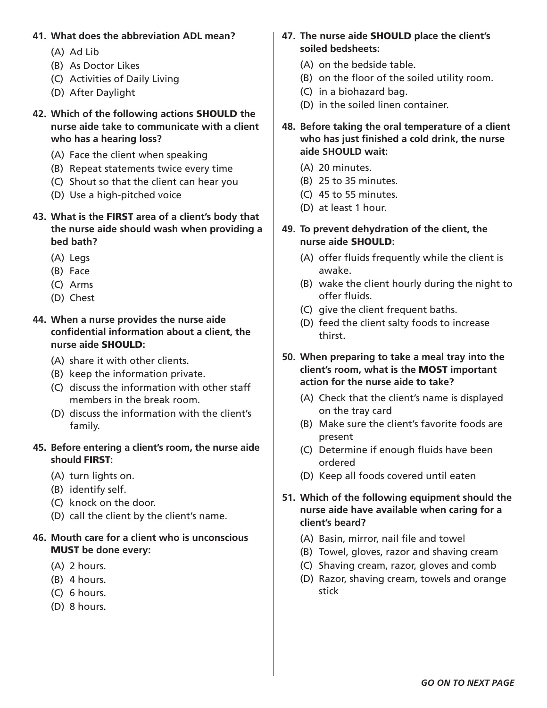#### **41. What does the abbreviation ADL mean?**

- (A) Ad Lib
- (B) As Doctor Likes
- (C) Activities of Daily Living
- (D) After Daylight
- **42. Which of the following actions** SHOULD **the nurse aide take to communicate with a client who has a hearing loss?** 
	- (A) Face the client when speaking
	- (B) Repeat statements twice every time
	- (C) Shout so that the client can hear you
	- (D) Use a high-pitched voice
- **43. What is the** FIRST **area of a client's body that the nurse aide should wash when providing a bed bath?** 
	- (A) Legs
	- (B) Face
	- (C) Arms
	- (D) Chest
- **44. When a nurse provides the nurse aide confidential information about a client, the nurse aide** SHOULD**:** 
	- (A) share it with other clients.
	- (B) keep the information private.
	- (C) discuss the information with other staff members in the break room.
	- (D) discuss the information with the client's family.

#### **45. Before entering a client's room, the nurse aide should** FIRST**:**

- (A) turn lights on.
- (B) identify self.
- (C) knock on the door.
- (D) call the client by the client's name.

#### **46. Mouth care for a client who is unconscious**  MUST **be done every:**

- (A) 2 hours.
- (B) 4 hours.
- (C) 6 hours.
- (D) 8 hours.

#### **47. The nurse aide** SHOULD **place the client's soiled bedsheets:**

- (A) on the bedside table.
- (B) on the floor of the soiled utility room.
- (C) in a biohazard bag.
- (D) in the soiled linen container.
- **48. Before taking the oral temperature of a client who has just finished a cold drink, the nurse aide SHOULD wait:** 
	- (A) 20 minutes.
	- (B) 25 to 35 minutes.
	- (C) 45 to 55 minutes.
	- (D) at least 1 hour.

#### **49. To prevent dehydration of the client, the nurse aide** SHOULD**:**

- (A) offer fluids frequently while the client is awake.
- (B) wake the client hourly during the night to offer fluids.
- (C) give the client frequent baths.
- (D) feed the client salty foods to increase thirst.
- **50. When preparing to take a meal tray into the client's room, what is the** MOST **important action for the nurse aide to take?**
	- (A) Check that the client's name is displayed on the tray card
	- (B) Make sure the client's favorite foods are present
	- (C) Determine if enough fluids have been ordered
	- (D) Keep all foods covered until eaten
- **51. Which of the following equipment should the nurse aide have available when caring for a client's beard?**
	- (A) Basin, mirror, nail file and towel
	- (B) Towel, gloves, razor and shaving cream
	- (C) Shaving cream, razor, gloves and comb
	- (D) Razor, shaving cream, towels and orange stick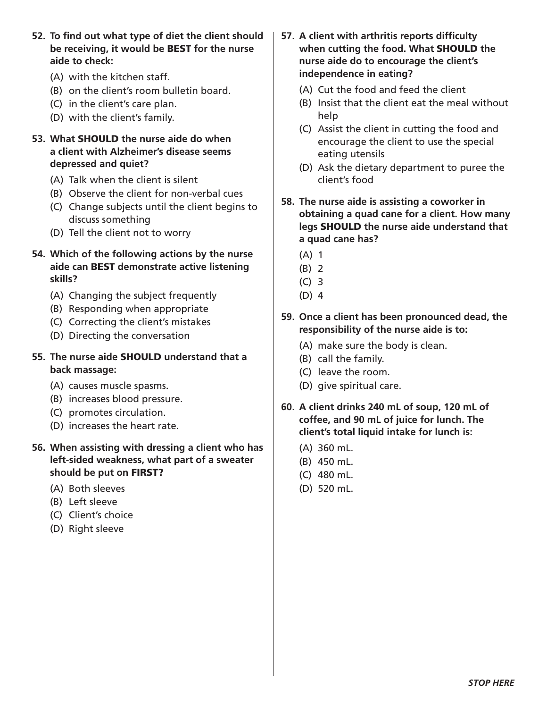**52. To find out what type of diet the client should be receiving, it would be** BEST **for the nurse aide to check:**

- (A) with the kitchen staff.
- (B) on the client's room bulletin board.
- (C) in the client's care plan.
- (D) with the client's family.
- **53. What** SHOULD **the nurse aide do when a client with Alzheimer's disease seems depressed and quiet?** 
	- (A) Talk when the client is silent
	- (B) Observe the client for non-verbal cues
	- (C) Change subjects until the client begins to discuss something
	- (D) Tell the client not to worry
- **54. Which of the following actions by the nurse aide can** BEST **demonstrate active listening skills?**
	- (A) Changing the subject frequently
	- (B) Responding when appropriate
	- (C) Correcting the client's mistakes
	- (D) Directing the conversation
- **55. The nurse aide** SHOULD **understand that a back massage:**
	- (A) causes muscle spasms.
	- (B) increases blood pressure.
	- (C) promotes circulation.
	- (D) increases the heart rate.
- **56. When assisting with dressing a client who has left-sided weakness, what part of a sweater should be put on** FIRST?
	- (A) Both sleeves
	- (B) Left sleeve
	- (C) Client's choice
	- (D) Right sleeve
- **57. A client with arthritis reports difficulty when cutting the food. What** SHOULD **the nurse aide do to encourage the client's independence in eating?** 
	- (A) Cut the food and feed the client
	- (B) Insist that the client eat the meal without help
	- (C) Assist the client in cutting the food and encourage the client to use the special eating utensils
	- (D) Ask the dietary department to puree the client's food
- **58. The nurse aide is assisting a coworker in obtaining a quad cane for a client. How many legs** SHOULD **the nurse aide understand that a quad cane has?** 
	- (A) 1
	- (B) 2
	- (C) 3
	- (D) 4
- **59. Once a client has been pronounced dead, the responsibility of the nurse aide is to:** 
	- (A) make sure the body is clean.
	- (B) call the family.
	- (C) leave the room.
	- (D) give spiritual care.
- **60. A client drinks 240 mL of soup, 120 mL of coffee, and 90 mL of juice for lunch. The client's total liquid intake for lunch is:** 
	- (A) 360 mL.
	- (B) 450 mL.
	- (C) 480 mL.
	- (D) 520 mL.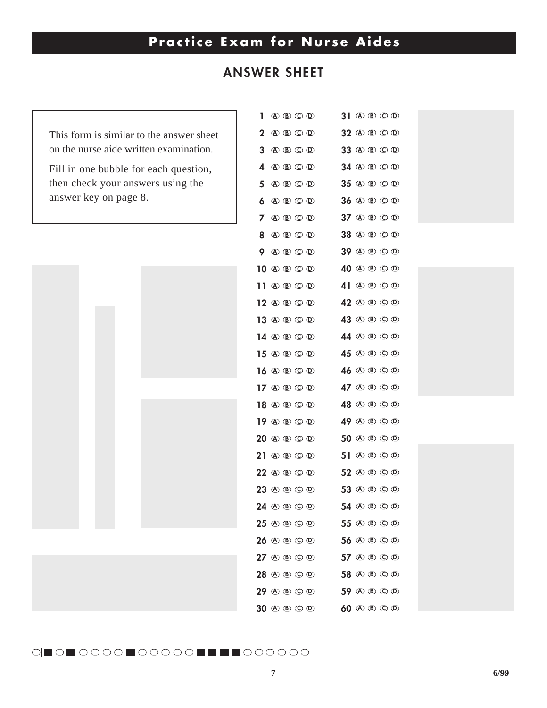### **Practice Exam for Nurse Aides**

### **ANSWER SHEET**

 $\overline{2}$  **A B CD A B CD**

This form is similar to the answer sheet on the nurse aide written examination.

Fill in one bubble for each question, then check your answers using the answer key on page 8.



| 1           | $\textcircled{A}$ $\textcircled{B}$ $\textcircled{D}$                                                                                             | <b>A B C D</b><br>31                                        |
|-------------|---------------------------------------------------------------------------------------------------------------------------------------------------|-------------------------------------------------------------|
| $\mathbf 2$ | $\textcircled{A}$ $\textcircled{B}$ $\textcircled{D}$                                                                                             | 32 A B C D                                                  |
| 3           | $\textcircled{A}$ $\textcircled{B}$ $\textcircled{D}$                                                                                             | 33 A B C D                                                  |
| 4           | $\textcircled{A}$ $\textcircled{B}$ $\textcircled{D}$                                                                                             | 34 A B C D                                                  |
| 5           | <b>A B C D</b>                                                                                                                                    | 35 A B C D                                                  |
| 6           | $\textcircled{A}$ $\textcircled{B}$ $\textcircled{D}$                                                                                             | 36 A B C D                                                  |
| 7           | $\textcircled{A}$ $\textcircled{B}$ $\textcircled{D}$                                                                                             | 37 A B C D                                                  |
| 8           | $\textcircled{A}$ $\textcircled{B}$ $\textcircled{D}$                                                                                             | <b>A D C D</b><br>38                                        |
| 9           | 40 (B) (D) (D)                                                                                                                                    | 39 A B C D                                                  |
|             | $10$ $\textcircled{a}$ $\textcircled{b}$ $\textcircled{c}$ $\textcircled{b}$                                                                      | 40 A B C D                                                  |
| 11          | $\textcircled{A}$ $\textcircled{B}$ $\textcircled{D}$                                                                                             | <b>A D C D</b><br>41                                        |
|             | $12 \text{ } \textcircled{\tiny{\textcircled{\tiny{1}}}} \textcircled{\tiny{\textcircled{\tiny{1}}}} \textcircled{\tiny{\textcircled{\tiny{1}}}}$ | 42 A B C D                                                  |
|             | 13 ① ⑧ ① ⑨                                                                                                                                        | 43 A B C D                                                  |
|             | 14 ① ① ① ①                                                                                                                                        | <b>A D C D</b><br>44                                        |
|             | 15 ① ⑧ ① ⑨                                                                                                                                        | 45 A B C D                                                  |
|             | $16 \text{ @ } \text{ @ } \text{ @ } \text{ @ }$                                                                                                  | 46 A B C D                                                  |
|             | 17 ① ① ① ①                                                                                                                                        | 47 A B C D                                                  |
|             | 18 ① ⑧ ① ⑨                                                                                                                                        | 48 A B C D                                                  |
|             | 19 ① ® © ®                                                                                                                                        | 49 A B C D                                                  |
|             | $20$ (a) (b) (c) (b)                                                                                                                              | 50 A B C D                                                  |
|             | 21 ① ⑧ ① ⑨                                                                                                                                        | $\textcircled{A}$ $\textcircled{B}$ $\textcircled{D}$<br>51 |
|             | 22 A B C D                                                                                                                                        | 52 A B C D                                                  |
|             | 23 A B C D                                                                                                                                        | 53 A B C D                                                  |
|             | 24 A B C D                                                                                                                                        | 54 A B C D                                                  |
|             | 25 A B C D                                                                                                                                        | 55 A B C D                                                  |
|             | 26 A B C D                                                                                                                                        | 56 A B C D                                                  |
|             | $27$ (a) (b) (c) (b)                                                                                                                              | 57 A B C D                                                  |
|             | 28 A B C D                                                                                                                                        | 58 A B C D                                                  |
|             | 29 A B C D                                                                                                                                        | 59 A B C D                                                  |
|             | 30 A B C D                                                                                                                                        | 60 A B C D                                                  |



 **A B CD A B CD**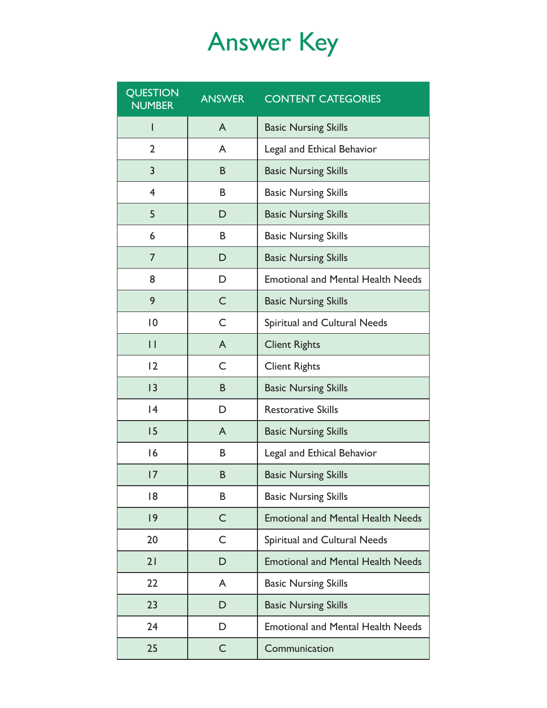## Answer Key

| <b>QUESTION</b><br><b>NUMBER</b> | <b>ANSWER</b> | <b>CONTENT CATEGORIES</b>                |  |
|----------------------------------|---------------|------------------------------------------|--|
| T                                | A             | <b>Basic Nursing Skills</b>              |  |
| $\overline{2}$                   | A             | Legal and Ethical Behavior               |  |
| 3                                | B             | <b>Basic Nursing Skills</b>              |  |
| 4                                | B             | <b>Basic Nursing Skills</b>              |  |
| 5                                | D             | <b>Basic Nursing Skills</b>              |  |
| 6                                | B             | <b>Basic Nursing Skills</b>              |  |
| $\overline{7}$                   | D             | <b>Basic Nursing Skills</b>              |  |
| 8                                | D             | <b>Emotional and Mental Health Needs</b> |  |
| 9                                | C             | <b>Basic Nursing Skills</b>              |  |
| $ 0\rangle$                      | C             | Spiritual and Cultural Needs             |  |
| $\mathsf{I}$                     | $\mathsf{A}$  | <b>Client Rights</b>                     |  |
| 12                               | C             | <b>Client Rights</b>                     |  |
| 3                                | B             | <b>Basic Nursing Skills</b>              |  |
| 4                                | D             | <b>Restorative Skills</b>                |  |
| 15                               | A             | <b>Basic Nursing Skills</b>              |  |
| 16                               | B             | Legal and Ethical Behavior               |  |
| 7                                | B             | <b>Basic Nursing Skills</b>              |  |
| 18                               | B             | <b>Basic Nursing Skills</b>              |  |
| 9                                | C             | <b>Emotional and Mental Health Needs</b> |  |
| 20                               | C             | Spiritual and Cultural Needs             |  |
| 21                               | D             | <b>Emotional and Mental Health Needs</b> |  |
| 22                               | A             | <b>Basic Nursing Skills</b>              |  |
| 23                               | D             | <b>Basic Nursing Skills</b>              |  |
| 24                               | D             | <b>Emotional and Mental Health Needs</b> |  |
| 25                               | $\mathsf C$   | Communication                            |  |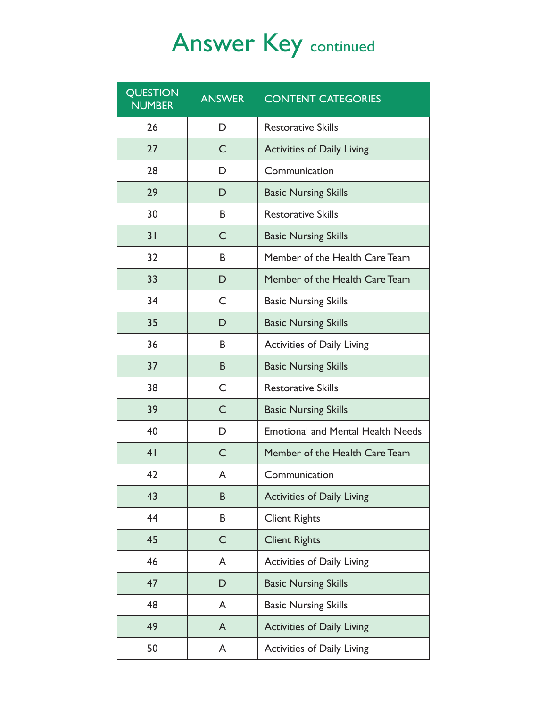## Answer Key continued

| <b>QUESTION</b><br><b>NUMBER</b> | <b>ANSWER</b> | <b>CONTENT CATEGORIES</b>                |  |
|----------------------------------|---------------|------------------------------------------|--|
| 26                               | D             | <b>Restorative Skills</b>                |  |
| 27                               | C             | <b>Activities of Daily Living</b>        |  |
| 28                               | D             | Communication                            |  |
| 29                               | D             | <b>Basic Nursing Skills</b>              |  |
| 30                               | B             | <b>Restorative Skills</b>                |  |
| 31                               | C             | <b>Basic Nursing Skills</b>              |  |
| 32                               | B             | Member of the Health Care Team           |  |
| 33                               | D             | Member of the Health Care Team           |  |
| 34                               | C             | <b>Basic Nursing Skills</b>              |  |
| 35                               | D             | <b>Basic Nursing Skills</b>              |  |
| 36                               | B             | <b>Activities of Daily Living</b>        |  |
| 37                               | B             | <b>Basic Nursing Skills</b>              |  |
| 38                               | C             | <b>Restorative Skills</b>                |  |
| 39                               | $\mathsf{C}$  | <b>Basic Nursing Skills</b>              |  |
| 40                               | D             | <b>Emotional and Mental Health Needs</b> |  |
| 4 <sub>1</sub>                   | C             | Member of the Health Care Team           |  |
| 42                               | A             | Communication                            |  |
| 43                               | B             | <b>Activities of Daily Living</b>        |  |
| 44                               | В             | <b>Client Rights</b>                     |  |
| 45                               | $\mathsf C$   | <b>Client Rights</b>                     |  |
| 46                               | A             | <b>Activities of Daily Living</b>        |  |
| 47                               | D             | <b>Basic Nursing Skills</b>              |  |
| 48                               | A             | <b>Basic Nursing Skills</b>              |  |
| 49                               | A             | <b>Activities of Daily Living</b>        |  |
| 50                               | A             | <b>Activities of Daily Living</b>        |  |